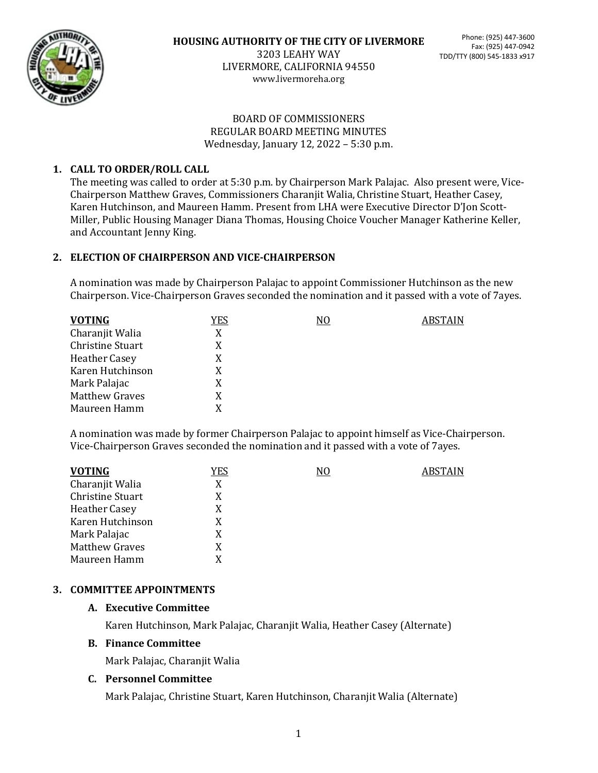

3203 LEAHY WAY LIVERMORE, CALIFORNIA 94550 www.livermoreha.org

### BOARD OF COMMISSIONERS REGULAR BOARD MEETING MINUTES Wednesday, January 12, 2022 – 5:30 p.m.

# **1. CALL TO ORDER/ROLL CALL**

The meeting was called to order at 5:30 p.m. by Chairperson Mark Palajac. Also present were, Vice-Chairperson Matthew Graves, Commissioners Charanjit Walia, Christine Stuart, Heather Casey, Karen Hutchinson, and Maureen Hamm. Present from LHA were Executive Director D'Jon Scott-Miller, Public Housing Manager Diana Thomas, Housing Choice Voucher Manager Katherine Keller, and Accountant Jenny King.

## **2. ELECTION OF CHAIRPERSON AND VICE-CHAIRPERSON**

A nomination was made by Chairperson Palajac to appoint Commissioner Hutchinson as the new Chairperson. Vice-Chairperson Graves seconded the nomination and it passed with a vote of 7ayes.

| <b>VOTING</b>        | YES | N0 | ABSTAIN |
|----------------------|-----|----|---------|
| Charanjit Walia      | X   |    |         |
| Christine Stuart     | X   |    |         |
| <b>Heather Casey</b> | X   |    |         |
| Karen Hutchinson     | X   |    |         |
| Mark Palajac         | X   |    |         |
| Matthew Graves       | X   |    |         |
| Maureen Hamm         | X   |    |         |

A nomination was made by former Chairperson Palajac to appoint himself as Vice-Chairperson. Vice-Chairperson Graves seconded the nomination and it passed with a vote of 7ayes.

| <b>VOTING</b>           | <u>YES</u> | N <sub>0</sub> | <b>ABSTAIN</b> |
|-------------------------|------------|----------------|----------------|
| Charanjit Walia         | X          |                |                |
| <b>Christine Stuart</b> | X          |                |                |
| <b>Heather Casey</b>    | X          |                |                |
| Karen Hutchinson        | X          |                |                |
| Mark Palajac            | X          |                |                |
| <b>Matthew Graves</b>   | X          |                |                |
| Maureen Hamm            | X          |                |                |

# **3. COMMITTEE APPOINTMENTS**

## **A. Executive Committee**

Karen Hutchinson, Mark Palajac, Charanjit Walia, Heather Casey (Alternate)

## **B. Finance Committee**

Mark Palajac, Charanjit Walia

## **C. Personnel Committee**

Mark Palajac, Christine Stuart, Karen Hutchinson, Charanjit Walia (Alternate)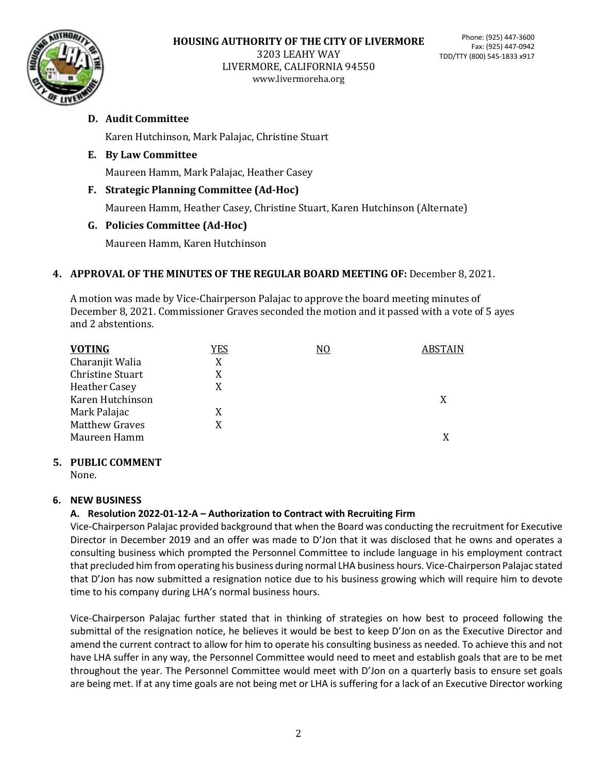

## **D. Audit Committee**

Karen Hutchinson, Mark Palajac, Christine Stuart

### **E. By Law Committee**

Maureen Hamm, Mark Palajac, Heather Casey

### **F. Strategic Planning Committee (Ad-Hoc)**

Maureen Hamm, Heather Casey, Christine Stuart, Karen Hutchinson (Alternate)

### **G. Policies Committee (Ad-Hoc)**

Maureen Hamm, Karen Hutchinson

### **4. APPROVAL OF THE MINUTES OF THE REGULAR BOARD MEETING OF:** December 8, 2021.

A motion was made by Vice-Chairperson Palajac to approve the board meeting minutes of December 8, 2021. Commissioner Graves seconded the motion and it passed with a vote of 5 ayes and 2 abstentions.

### **5. PUBLIC COMMENT**

None.

#### **6. NEW BUSINESS**

## **A. Resolution 2022-01-12-A – Authorization to Contract with Recruiting Firm**

Vice-Chairperson Palajac provided background that when the Board was conducting the recruitment for Executive Director in December 2019 and an offer was made to D'Jon that it was disclosed that he owns and operates a consulting business which prompted the Personnel Committee to include language in his employment contract that precluded him from operating his business during normal LHA business hours. Vice-Chairperson Palajac stated that D'Jon has now submitted a resignation notice due to his business growing which will require him to devote time to his company during LHA's normal business hours.

Vice-Chairperson Palajac further stated that in thinking of strategies on how best to proceed following the submittal of the resignation notice, he believes it would be best to keep D'Jon on as the Executive Director and amend the current contract to allow for him to operate his consulting business as needed. To achieve this and not have LHA suffer in any way, the Personnel Committee would need to meet and establish goals that are to be met throughout the year. The Personnel Committee would meet with D'Jon on a quarterly basis to ensure set goals are being met. If at any time goals are not being met or LHA is suffering for a lack of an Executive Director working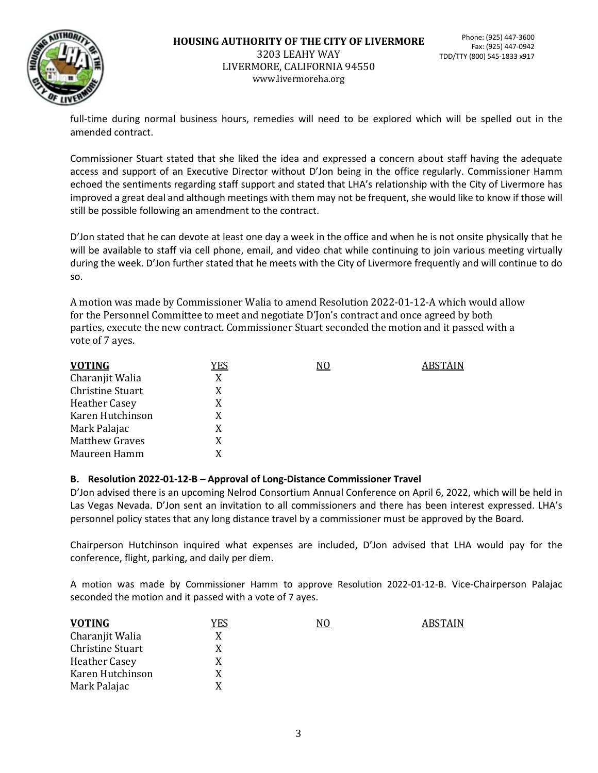

full-time during normal business hours, remedies will need to be explored which will be spelled out in the amended contract.

Commissioner Stuart stated that she liked the idea and expressed a concern about staff having the adequate access and support of an Executive Director without D'Jon being in the office regularly. Commissioner Hamm echoed the sentiments regarding staff support and stated that LHA's relationship with the City of Livermore has improved a great deal and although meetings with them may not be frequent, she would like to know if those will still be possible following an amendment to the contract.

D'Jon stated that he can devote at least one day a week in the office and when he is not onsite physically that he will be available to staff via cell phone, email, and video chat while continuing to join various meeting virtually during the week. D'Jon further stated that he meets with the City of Livermore frequently and will continue to do so.

A motion was made by Commissioner Walia to amend Resolution 2022-01-12-A which would allow for the Personnel Committee to meet and negotiate D'Jon's contract and once agreed by both parties, execute the new contract. Commissioner Stuart seconded the motion and it passed with a vote of 7 ayes.

| <u>YES</u> | N <sub>0</sub> | <b>ABSTAIN</b> |
|------------|----------------|----------------|
| X          |                |                |
| X          |                |                |
| X          |                |                |
| X          |                |                |
| X          |                |                |
| X          |                |                |
|            |                |                |
|            |                |                |

#### **B. Resolution 2022-01-12-B – Approval of Long-Distance Commissioner Travel**

D'Jon advised there is an upcoming Nelrod Consortium Annual Conference on April 6, 2022, which will be held in Las Vegas Nevada. D'Jon sent an invitation to all commissioners and there has been interest expressed. LHA's personnel policy states that any long distance travel by a commissioner must be approved by the Board.

Chairperson Hutchinson inquired what expenses are included, D'Jon advised that LHA would pay for the conference, flight, parking, and daily per diem.

A motion was made by Commissioner Hamm to approve Resolution 2022-01-12-B. Vice-Chairperson Palajac seconded the motion and it passed with a vote of 7 ayes.

| <b>VOTING</b>           | YES | N0 | ABSTAIN |
|-------------------------|-----|----|---------|
| Charanjit Walia         | X   |    |         |
| <b>Christine Stuart</b> | X   |    |         |
| <b>Heather Casey</b>    | X   |    |         |
| Karen Hutchinson        | X   |    |         |
| Mark Palajac            | Y   |    |         |